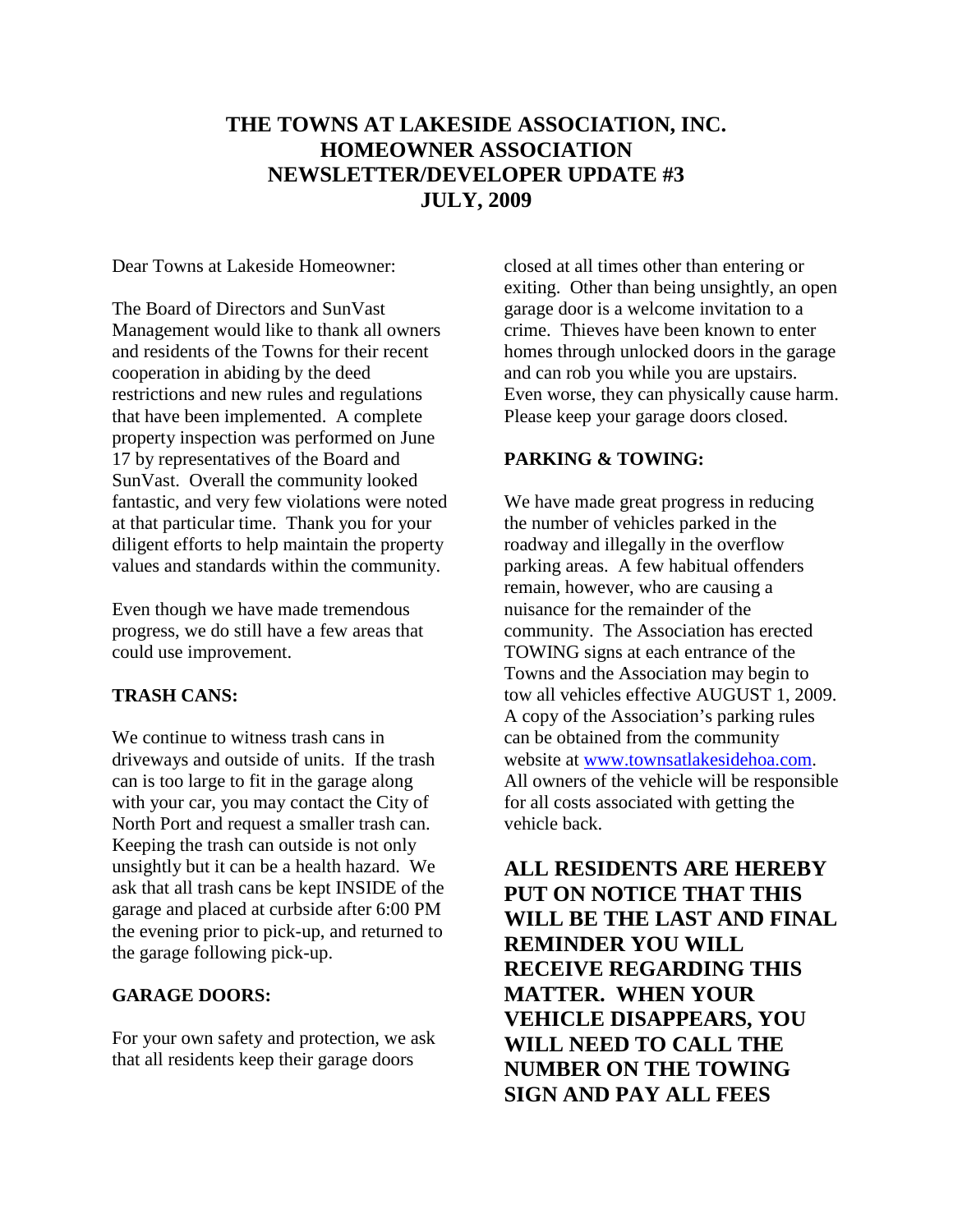## **THE TOWNS AT LAKESIDE ASSOCIATION, INC. HOMEOWNER ASSOCIATION NEWSLETTER/DEVELOPER UPDATE #3 JULY, 2009**

Dear Towns at Lakeside Homeowner:

The Board of Directors and SunVast Management would like to thank all owners and residents of the Towns for their recent cooperation in abiding by the deed restrictions and new rules and regulations that have been implemented. A complete property inspection was performed on June 17 by representatives of the Board and SunVast. Overall the community looked fantastic, and very few violations were noted at that particular time. Thank you for your diligent efforts to help maintain the property values and standards within the community.

Even though we have made tremendous progress, we do still have a few areas that could use improvement.

## **TRASH CANS:**

We continue to witness trash cans in driveways and outside of units. If the trash can is too large to fit in the garage along with your car, you may contact the City of North Port and request a smaller trash can. Keeping the trash can outside is not only unsightly but it can be a health hazard. We ask that all trash cans be kept INSIDE of the garage and placed at curbside after 6:00 PM the evening prior to pick-up, and returned to the garage following pick-up.

## **GARAGE DOORS:**

For your own safety and protection, we ask that all residents keep their garage doors

closed at all times other than entering or exiting. Other than being unsightly, an open garage door is a welcome invitation to a crime. Thieves have been known to enter homes through unlocked doors in the garage and can rob you while you are upstairs. Even worse, they can physically cause harm. Please keep your garage doors closed.

## **PARKING & TOWING:**

We have made great progress in reducing the number of vehicles parked in the roadway and illegally in the overflow parking areas. A few habitual offenders remain, however, who are causing a nuisance for the remainder of the community. The Association has erected TOWING signs at each entrance of the Towns and the Association may begin to tow all vehicles effective AUGUST 1, 2009. A copy of the Association's parking rules can be obtained from the community website at [www.townsatlakesidehoa.com.](http://www.townsatlakesidehoa.com/) All owners of the vehicle will be responsible for all costs associated with getting the vehicle back.

**ALL RESIDENTS ARE HEREBY PUT ON NOTICE THAT THIS WILL BE THE LAST AND FINAL REMINDER YOU WILL RECEIVE REGARDING THIS MATTER. WHEN YOUR VEHICLE DISAPPEARS, YOU WILL NEED TO CALL THE NUMBER ON THE TOWING SIGN AND PAY ALL FEES**